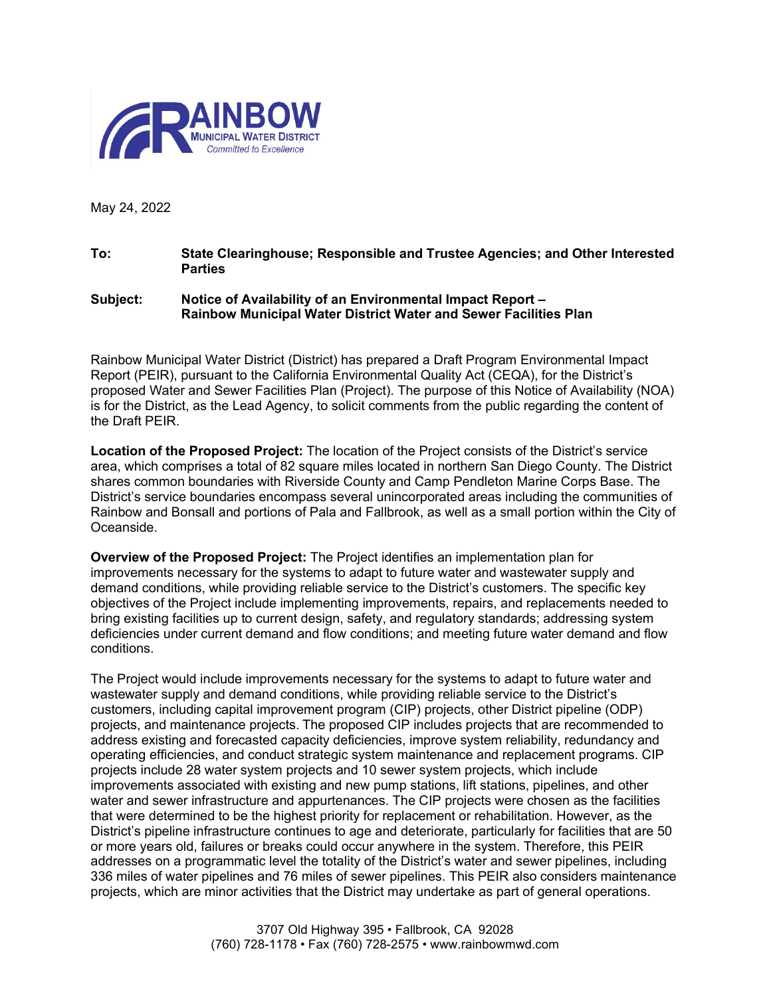

May 24, 2022

## **To: State Clearinghouse; Responsible and Trustee Agencies; and Other Interested Parties**

## **Subject: Notice of Availability of an Environmental Impact Report – Rainbow Municipal Water District Water and Sewer Facilities Plan**

Rainbow Municipal Water District (District) has prepared a Draft Program Environmental Impact Report (PEIR), pursuant to the California Environmental Quality Act (CEQA), for the District's proposed Water and Sewer Facilities Plan (Project). The purpose of this Notice of Availability (NOA) is for the District, as the Lead Agency, to solicit comments from the public regarding the content of the Draft PEIR.

**Location of the Proposed Project:** The location of the Project consists of the District's service area, which comprises a total of 82 square miles located in northern San Diego County. The District shares common boundaries with Riverside County and Camp Pendleton Marine Corps Base. The District's service boundaries encompass several unincorporated areas including the communities of Rainbow and Bonsall and portions of Pala and Fallbrook, as well as a small portion within the City of Oceanside.

**Overview of the Proposed Project:** The Project identifies an implementation plan for improvements necessary for the systems to adapt to future water and wastewater supply and demand conditions, while providing reliable service to the District's customers. The specific key objectives of the Project include implementing improvements, repairs, and replacements needed to bring existing facilities up to current design, safety, and regulatory standards; addressing system deficiencies under current demand and flow conditions; and meeting future water demand and flow conditions.

The Project would include improvements necessary for the systems to adapt to future water and wastewater supply and demand conditions, while providing reliable service to the District's customers, including capital improvement program (CIP) projects, other District pipeline (ODP) projects, and maintenance projects. The proposed CIP includes projects that are recommended to address existing and forecasted capacity deficiencies, improve system reliability, redundancy and operating efficiencies, and conduct strategic system maintenance and replacement programs. CIP projects include 28 water system projects and 10 sewer system projects, which include improvements associated with existing and new pump stations, lift stations, pipelines, and other water and sewer infrastructure and appurtenances. The CIP projects were chosen as the facilities that were determined to be the highest priority for replacement or rehabilitation. However, as the District's pipeline infrastructure continues to age and deteriorate, particularly for facilities that are 50 or more years old, failures or breaks could occur anywhere in the system. Therefore, this PEIR addresses on a programmatic level the totality of the District's water and sewer pipelines, including 336 miles of water pipelines and 76 miles of sewer pipelines. This PEIR also considers maintenance projects, which are minor activities that the District may undertake as part of general operations.